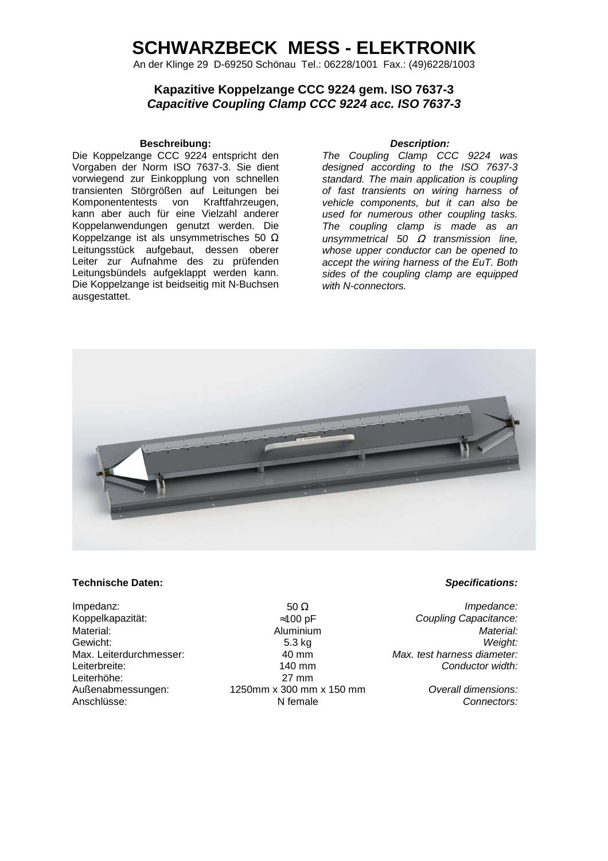## **SCHWARZBECK MESS - ELEKTRONIK**

An der Klinge 29 D-69250 Schönau Tel.: 06228/1001 Fax.: (49)6228/1003

### **Kapazitive Koppelzange CCC 9224 gem. ISO 7637-3 Capacitive Coupling Clamp CCC 9224 acc. ISO 7637-3**

### **Beschreibung: Description:**

Die Koppelzange CCC 9224 entspricht den Vorgaben der Norm ISO 7637-3. Sie dient vorwiegend zur Einkopplung von schnellen transienten Störgrößen auf Leitungen bei Komponententests von Kraftfahrzeugen, kann aber auch für eine Vielzahl anderer Koppelanwendungen genutzt werden. Die Koppelzange ist als unsymmetrisches 50  $\Omega$ Leitungsstück aufgebaut, dessen oberer Leiter zur Aufnahme des zu prüfenden Leitungsbündels aufgeklappt werden kann. Die Koppelzange ist beidseitig mit N-Buchsen ausgestattet.

The Coupling Clamp CCC 9224 was designed according to the ISO 7637-3 standard. The main application is coupling of fast transients on wiring harness of vehicle components, but it can also be used for numerous other coupling tasks. The coupling clamp is made as an unsγmmetrical 50  $Ω$  transmission line, whose upper conductor can be opened to accept the wiring harness of the EuT. Both sides of the coupling clamp are equipped with N-connectors.



### **Technische Daten: Specifications:**

Leiterhöhe:<br>Außenabmessungen:

Koppelkapazität:  $\approx$ 100 pF Coupling Capacitance:<br>
Material: Coupling Capacitance: Coupling Capacitance: Coupling Capacitance: Aluminium Gewicht: 5.3 kg Weight: Max. Leiterdurchmesser:  $40 \text{ mm}$  Max. test harness diameter: Leiterbreite: 140 mm Conductor width:<br>
Leiterhöhe: 140 mm Conductor width: 1250mm x 300 mm x 150 mm **Overall dimensions:** Anschlüsse: Connectors: N female Connectors: N female Connectors:

Impedanz:  $50 \Omega$  Impedance: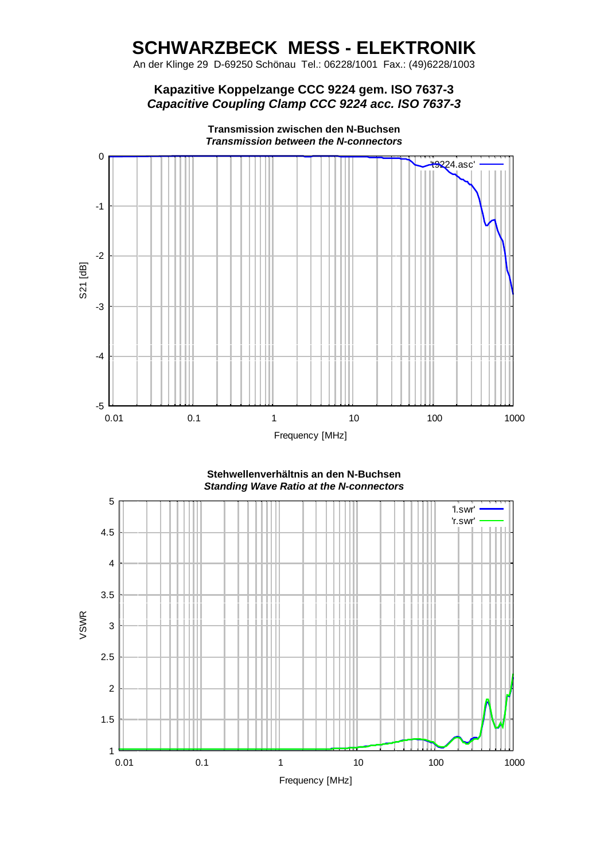# **SCHWARZBECK MESS - ELEKTRONIK**

An der Klinge 29 D-69250 Schönau Tel.: 06228/1001 Fax.: (49)6228/1003

## **Kapazitive Koppelzange CCC 9224 gem. ISO 7637-3 Capacitive Coupling Clamp CCC 9224 acc. ISO 7637-3**



**Transmission zwischen den N-Buchsen Transmission between the N-connectors** 

**Stehwellenverhältnis an den N-Buchsen Standing Wave Ratio at the N-connectors**